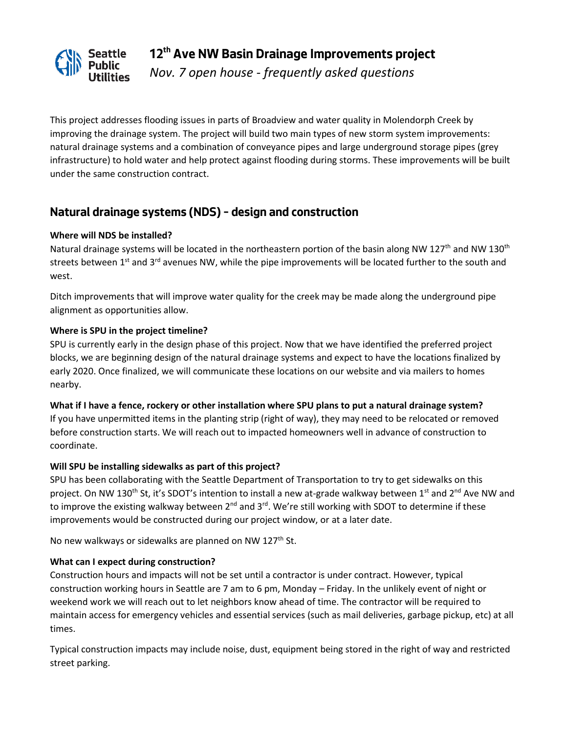

**12th Ave NW Basin Drainage Improvements project** *Nov. 7 open house - frequently asked questions*

This project addresses flooding issues in parts of Broadview and water quality in Molendorph Creek by improving the drainage system. The project will build two main types of new storm system improvements: natural drainage systems and a combination of conveyance pipes and large underground storage pipes (grey infrastructure) to hold water and help protect against flooding during storms. These improvements will be built under the same construction contract.

# **Natural drainage systems (NDS) – design and construction**

## **Where will NDS be installed?**

Natural drainage systems will be located in the northeastern portion of the basin along NW 127<sup>th</sup> and NW 130<sup>th</sup> streets between 1<sup>st</sup> and 3<sup>rd</sup> avenues NW, while the pipe improvements will be located further to the south and west.

Ditch improvements that will improve water quality for the creek may be made along the underground pipe alignment as opportunities allow.

# **Where is SPU in the project timeline?**

SPU is currently early in the design phase of this project. Now that we have identified the preferred project blocks, we are beginning design of the natural drainage systems and expect to have the locations finalized by early 2020. Once finalized, we will communicate these locations on our website and via mailers to homes nearby.

**What if I have a fence, rockery or other installation where SPU plans to put a natural drainage system?** If you have unpermitted items in the planting strip (right of way), they may need to be relocated or removed before construction starts. We will reach out to impacted homeowners well in advance of construction to coordinate.

## **Will SPU be installing sidewalks as part of this project?**

SPU has been collaborating with the Seattle Department of Transportation to try to get sidewalks on this project. On NW 130<sup>th</sup> St, it's SDOT's intention to install a new at-grade walkway between 1<sup>st</sup> and 2<sup>nd</sup> Ave NW and to improve the existing walkway between  $2^{nd}$  and  $3^{rd}$ . We're still working with SDOT to determine if these improvements would be constructed during our project window, or at a later date.

No new walkways or sidewalks are planned on NW 127<sup>th</sup> St.

## **What can I expect during construction?**

Construction hours and impacts will not be set until a contractor is under contract. However, typical construction working hours in Seattle are 7 am to 6 pm, Monday – Friday. In the unlikely event of night or weekend work we will reach out to let neighbors know ahead of time. The contractor will be required to maintain access for emergency vehicles and essential services (such as mail deliveries, garbage pickup, etc) at all times.

Typical construction impacts may include noise, dust, equipment being stored in the right of way and restricted street parking.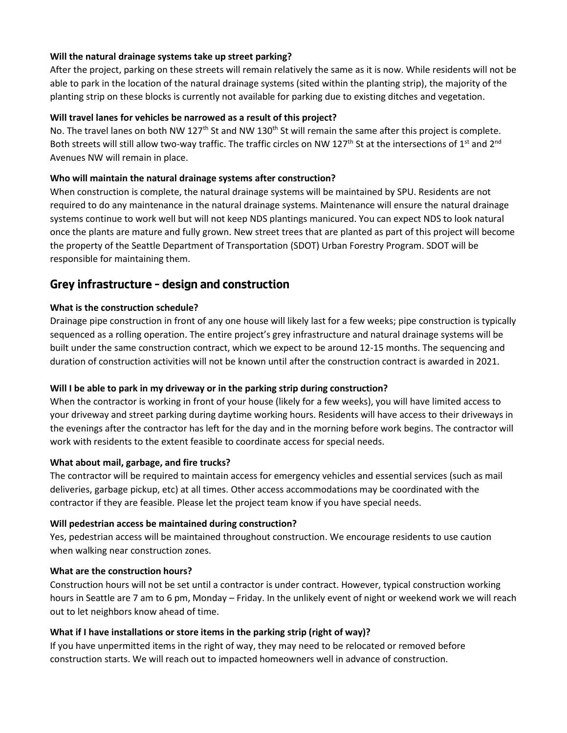# **Will the natural drainage systems take up street parking?**

After the project, parking on these streets will remain relatively the same as it is now. While residents will not be able to park in the location of the natural drainage systems (sited within the planting strip), the majority of the planting strip on these blocks is currently not available for parking due to existing ditches and vegetation.

## **Will travel lanes for vehicles be narrowed as a result of this project?**

No. The travel lanes on both NW 127<sup>th</sup> St and NW 130<sup>th</sup> St will remain the same after this project is complete. Both streets will still allow two-way traffic. The traffic circles on NW 127<sup>th</sup> St at the intersections of 1<sup>st</sup> and 2<sup>nd</sup> Avenues NW will remain in place.

#### **Who will maintain the natural drainage systems after construction?**

When construction is complete, the natural drainage systems will be maintained by SPU. Residents are not required to do any maintenance in the natural drainage systems. Maintenance will ensure the natural drainage systems continue to work well but will not keep NDS plantings manicured. You can expect NDS to look natural once the plants are mature and fully grown. New street trees that are planted as part of this project will become the property of the Seattle Department of Transportation (SDOT) Urban Forestry Program. SDOT will be responsible for maintaining them.

# **Grey infrastructure – design and construction**

## **What is the construction schedule?**

Drainage pipe construction in front of any one house will likely last for a few weeks; pipe construction is typically sequenced as a rolling operation. The entire project's grey infrastructure and natural drainage systems will be built under the same construction contract, which we expect to be around 12-15 months. The sequencing and duration of construction activities will not be known until after the construction contract is awarded in 2021.

## **Will I be able to park in my driveway or in the parking strip during construction?**

When the contractor is working in front of your house (likely for a few weeks), you will have limited access to your driveway and street parking during daytime working hours. Residents will have access to their driveways in the evenings after the contractor has left for the day and in the morning before work begins. The contractor will work with residents to the extent feasible to coordinate access for special needs.

#### **What about mail, garbage, and fire trucks?**

The contractor will be required to maintain access for emergency vehicles and essential services (such as mail deliveries, garbage pickup, etc) at all times. Other access accommodations may be coordinated with the contractor if they are feasible. Please let the project team know if you have special needs.

#### **Will pedestrian access be maintained during construction?**

Yes, pedestrian access will be maintained throughout construction. We encourage residents to use caution when walking near construction zones.

#### **What are the construction hours?**

Construction hours will not be set until a contractor is under contract. However, typical construction working hours in Seattle are 7 am to 6 pm, Monday – Friday. In the unlikely event of night or weekend work we will reach out to let neighbors know ahead of time.

## **What if I have installations or store items in the parking strip (right of way)?**

If you have unpermitted items in the right of way, they may need to be relocated or removed before construction starts. We will reach out to impacted homeowners well in advance of construction.